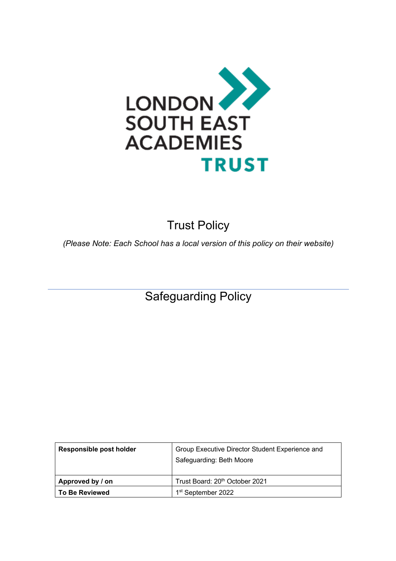

# Trust Policy

*(Please Note: Each School has a local version of this policy on their website)*

Safeguarding Policy

| Responsible post holder | Group Executive Director Student Experience and<br>Safeguarding: Beth Moore |
|-------------------------|-----------------------------------------------------------------------------|
| Approved by / on        | Trust Board: 20 <sup>th</sup> October 2021                                  |
| <b>To Be Reviewed</b>   | 1 <sup>st</sup> September 2022                                              |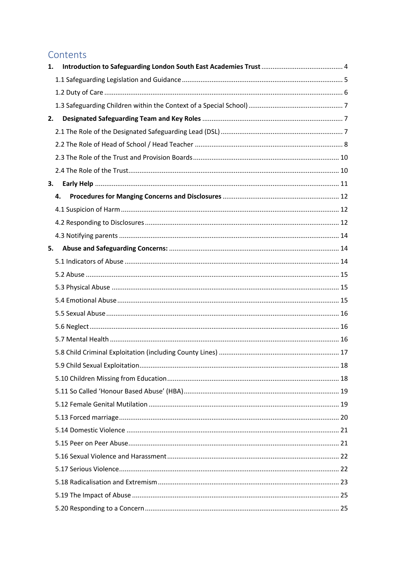## Contents

| 1. |    |  |
|----|----|--|
|    |    |  |
|    |    |  |
|    |    |  |
| 2. |    |  |
|    |    |  |
|    |    |  |
|    |    |  |
|    |    |  |
| 3. |    |  |
|    | 4. |  |
|    |    |  |
|    |    |  |
|    |    |  |
| 5. |    |  |
|    |    |  |
|    |    |  |
|    |    |  |
|    |    |  |
|    |    |  |
|    |    |  |
|    |    |  |
|    |    |  |
|    |    |  |
|    |    |  |
|    |    |  |
|    |    |  |
|    |    |  |
|    |    |  |
|    |    |  |
|    |    |  |
|    |    |  |
|    |    |  |
|    |    |  |
|    |    |  |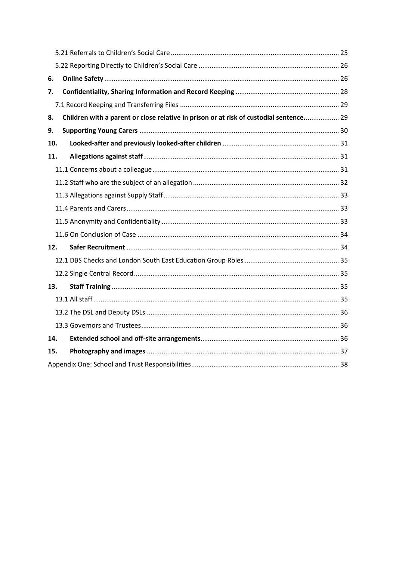| 6.  |                                                                                        |  |  |
|-----|----------------------------------------------------------------------------------------|--|--|
| 7.  |                                                                                        |  |  |
|     |                                                                                        |  |  |
| 8.  | Children with a parent or close relative in prison or at risk of custodial sentence 29 |  |  |
| 9.  |                                                                                        |  |  |
| 10. |                                                                                        |  |  |
| 11. |                                                                                        |  |  |
|     |                                                                                        |  |  |
|     |                                                                                        |  |  |
|     |                                                                                        |  |  |
|     |                                                                                        |  |  |
|     |                                                                                        |  |  |
|     |                                                                                        |  |  |
| 12. |                                                                                        |  |  |
|     |                                                                                        |  |  |
|     |                                                                                        |  |  |
| 13. |                                                                                        |  |  |
|     |                                                                                        |  |  |
|     |                                                                                        |  |  |
|     |                                                                                        |  |  |
| 14. |                                                                                        |  |  |
| 15. |                                                                                        |  |  |
|     |                                                                                        |  |  |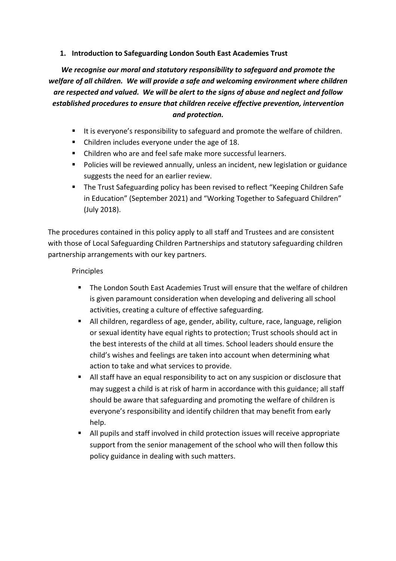#### **1. Introduction to Safeguarding London South East Academies Trust**

*We recognise our moral and statutory responsibility to safeguard and promote the welfare of all children. We will provide a safe and welcoming environment where children are respected and valued. We will be alert to the signs of abuse and neglect and follow established procedures to ensure that children receive effective prevention, intervention and protection.*

- It is everyone's responsibility to safeguard and promote the welfare of children.
- Children includes everyone under the age of 18.
- Children who are and feel safe make more successful learners.
- Policies will be reviewed annually, unless an incident, new legislation or guidance suggests the need for an earlier review.
- § The Trust Safeguarding policy has been revised to reflect "Keeping Children Safe in Education" (September 2021) and "Working Together to Safeguard Children" (July 2018).

The procedures contained in this policy apply to all staff and Trustees and are consistent with those of Local Safeguarding Children Partnerships and statutory safeguarding children partnership arrangements with our key partners.

#### Principles

- The London South East Academies Trust will ensure that the welfare of children is given paramount consideration when developing and delivering all school activities, creating a culture of effective safeguarding.
- All children, regardless of age, gender, ability, culture, race, language, religion or sexual identity have equal rights to protection; Trust schools should act in the best interests of the child at all times. School leaders should ensure the child's wishes and feelings are taken into account when determining what action to take and what services to provide.
- All staff have an equal responsibility to act on any suspicion or disclosure that may suggest a child is at risk of harm in accordance with this guidance; all staff should be aware that safeguarding and promoting the welfare of children is everyone's responsibility and identify children that may benefit from early help.
- All pupils and staff involved in child protection issues will receive appropriate support from the senior management of the school who will then follow this policy guidance in dealing with such matters.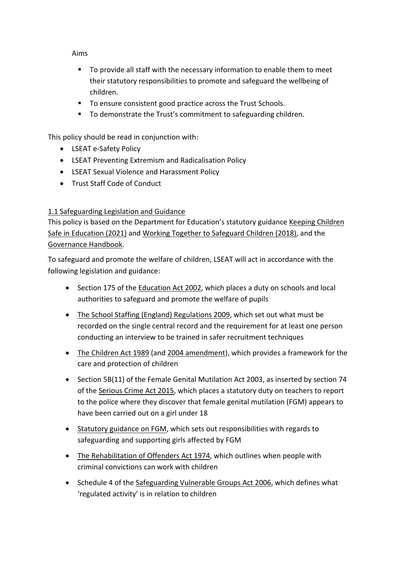#### Aims

- § To provide all staff with the necessary information to enable them to meet their statutory responsibilities to promote and safeguard the wellbeing of children.
- To ensure consistent good practice across the Trust Schools.
- To demonstrate the Trust's commitment to safeguarding children.

This policy should be read in conjunction with:

- LSEAT e-Safety Policy
- LSEAT Preventing Extremism and Radicalisation Policy
- LSEAT Sexual Violence and Harassment Policy
- Trust Staff Code of Conduct

## 1.1 Safeguarding Legislation and Guidance

This policy is based on the Department for Education's statutory guidance Keeping Children Safe in Education (2021) and Working Together to Safeguard Children (2018), and the Governance Handbook.

To safeguard and promote the welfare of children, LSEAT will act in accordance with the following legislation and guidance:

- Section 175 of the Education Act 2002, which places a duty on schools and local authorities to safeguard and promote the welfare of pupils
- The School Staffing (England) Regulations 2009, which set out what must be recorded on the single central record and the requirement for at least one person conducting an interview to be trained in safer recruitment techniques
- The Children Act 1989 (and 2004 amendment), which provides a framework for the care and protection of children
- Section 5B(11) of the Female Genital Mutilation Act 2003, as inserted by section 74 of the Serious Crime Act 2015, which places a statutory duty on teachers to report to the police where they discover that female genital mutilation (FGM) appears to have been carried out on a girl under 18
- Statutory guidance on FGM, which sets out responsibilities with regards to safeguarding and supporting girls affected by FGM
- The Rehabilitation of Offenders Act 1974, which outlines when people with criminal convictions can work with children
- Schedule 4 of the Safeguarding Vulnerable Groups Act 2006, which defines what 'regulated activity' is in relation to children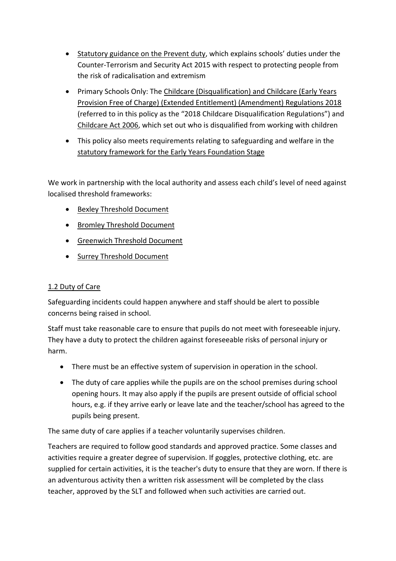- Statutory guidance on the Prevent duty, which explains schools' duties under the Counter-Terrorism and Security Act 2015 with respect to protecting people from the risk of radicalisation and extremism
- Primary Schools Only: The Childcare (Disqualification) and Childcare (Early Years Provision Free of Charge) (Extended Entitlement) (Amendment) Regulations 2018 (referred to in this policy as the "2018 Childcare Disqualification Regulations") and Childcare Act 2006, which set out who is disqualified from working with children
- This policy also meets requirements relating to safeguarding and welfare in the statutory framework for the Early Years Foundation Stage

We work in partnership with the local authority and assess each child's level of need against localised threshold frameworks:

- Bexley Threshold Document
- Bromley Threshold Document
- Greenwich Threshold Document
- Surrey Threshold Document

## 1.2 Duty of Care

Safeguarding incidents could happen anywhere and staff should be alert to possible concerns being raised in school.

Staff must take reasonable care to ensure that pupils do not meet with foreseeable injury. They have a duty to protect the children against foreseeable risks of personal injury or harm.

- There must be an effective system of supervision in operation in the school.
- The duty of care applies while the pupils are on the school premises during school opening hours. It may also apply if the pupils are present outside of official school hours, e.g. if they arrive early or leave late and the teacher/school has agreed to the pupils being present.

The same duty of care applies if a teacher voluntarily supervises children.

Teachers are required to follow good standards and approved practice. Some classes and activities require a greater degree of supervision. If goggles, protective clothing, etc. are supplied for certain activities, it is the teacher's duty to ensure that they are worn. If there is an adventurous activity then a written risk assessment will be completed by the class teacher, approved by the SLT and followed when such activities are carried out.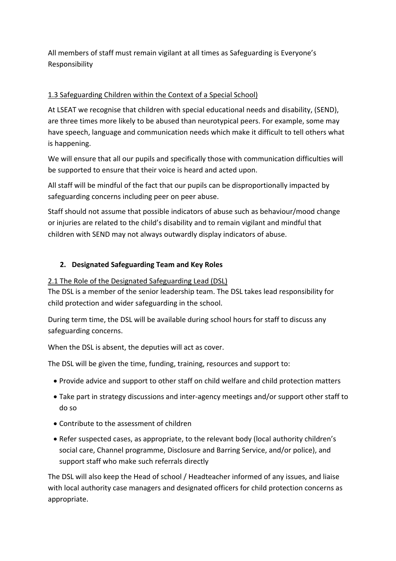All members of staff must remain vigilant at all times as Safeguarding is Everyone's Responsibility

## 1.3 Safeguarding Children within the Context of a Special School)

At LSEAT we recognise that children with special educational needs and disability, (SEND), are three times more likely to be abused than neurotypical peers. For example, some may have speech, language and communication needs which make it difficult to tell others what is happening.

We will ensure that all our pupils and specifically those with communication difficulties will be supported to ensure that their voice is heard and acted upon.

All staff will be mindful of the fact that our pupils can be disproportionally impacted by safeguarding concerns including peer on peer abuse.

Staff should not assume that possible indicators of abuse such as behaviour/mood change or injuries are related to the child's disability and to remain vigilant and mindful that children with SEND may not always outwardly display indicators of abuse.

## **2. Designated Safeguarding Team and Key Roles**

## 2.1 The Role of the Designated Safeguarding Lead (DSL)

The DSL is a member of the senior leadership team. The DSL takes lead responsibility for child protection and wider safeguarding in the school.

During term time, the DSL will be available during school hours for staff to discuss any safeguarding concerns.

When the DSL is absent, the deputies will act as cover.

The DSL will be given the time, funding, training, resources and support to:

- Provide advice and support to other staff on child welfare and child protection matters
- Take part in strategy discussions and inter-agency meetings and/or support other staff to do so
- Contribute to the assessment of children
- Refer suspected cases, as appropriate, to the relevant body (local authority children's social care, Channel programme, Disclosure and Barring Service, and/or police), and support staff who make such referrals directly

The DSL will also keep the Head of school / Headteacher informed of any issues, and liaise with local authority case managers and designated officers for child protection concerns as appropriate.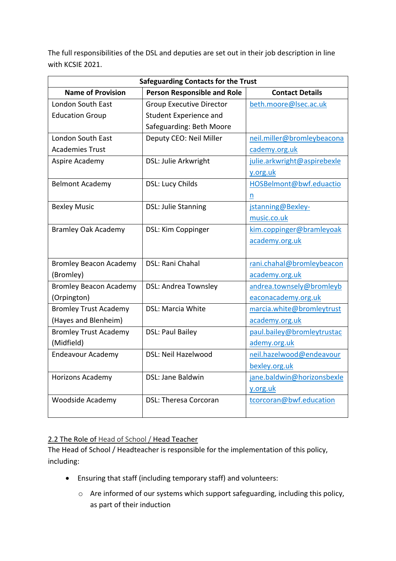The full responsibilities of the DSL and deputies are set out in their job description in line with KCSIE 2021.

| <b>Safeguarding Contacts for the Trust</b>                     |                                 |                             |
|----------------------------------------------------------------|---------------------------------|-----------------------------|
| <b>Name of Provision</b><br><b>Person Responsible and Role</b> |                                 | <b>Contact Details</b>      |
| <b>London South East</b>                                       | <b>Group Executive Director</b> | beth.moore@lsec.ac.uk       |
| <b>Education Group</b>                                         | Student Experience and          |                             |
|                                                                | Safeguarding: Beth Moore        |                             |
| <b>London South East</b>                                       | Deputy CEO: Neil Miller         | neil.miller@bromleybeacona  |
| <b>Academies Trust</b>                                         |                                 | cademy.org.uk               |
| Aspire Academy                                                 | DSL: Julie Arkwright            | julie.arkwright@aspirebexle |
|                                                                |                                 | y.org.uk                    |
| <b>Belmont Academy</b>                                         | DSL: Lucy Childs                | HOSBelmont@bwf.eduactio     |
|                                                                |                                 | n                           |
| <b>Bexley Music</b>                                            | <b>DSL: Julie Stanning</b>      | jstanning@Bexley-           |
|                                                                |                                 | music.co.uk                 |
| <b>Bramley Oak Academy</b>                                     | DSL: Kim Coppinger              | kim.coppinger@bramleyoak    |
|                                                                |                                 | academy.org.uk              |
|                                                                |                                 |                             |
| <b>Bromley Beacon Academy</b>                                  | DSL: Rani Chahal                | rani.chahal@bromleybeacon   |
| (Bromley)                                                      |                                 | academy.org.uk              |
| <b>Bromley Beacon Academy</b>                                  | <b>DSL: Andrea Townsley</b>     | andrea.townsely@bromleyb    |
| (Orpington)                                                    |                                 | eaconacademy.org.uk         |
| <b>Bromley Trust Academy</b>                                   | DSL: Marcia White               | marcia.white@bromleytrust   |
| (Hayes and Blenheim)                                           |                                 | academy.org.uk              |
| <b>Bromley Trust Academy</b>                                   | <b>DSL: Paul Bailey</b>         | paul.bailey@bromleytrustac  |
| (Midfield)                                                     |                                 | ademy.org.uk                |
| <b>Endeavour Academy</b>                                       | DSL: Neil Hazelwood             | neil.hazelwood@endeavour    |
|                                                                |                                 | bexley.org.uk               |
| Horizons Academy                                               | DSL: Jane Baldwin               | jane.baldwin@horizonsbexle  |
|                                                                |                                 | y.org.uk                    |
| <b>Woodside Academy</b>                                        | <b>DSL: Theresa Corcoran</b>    | tcorcoran@bwf.education     |
|                                                                |                                 |                             |

## 2.2 The Role of Head of School / Head Teacher

The Head of School / Headteacher is responsible for the implementation of this policy, including:

- Ensuring that staff (including temporary staff) and volunteers:
	- o Are informed of our systems which support safeguarding, including this policy, as part of their induction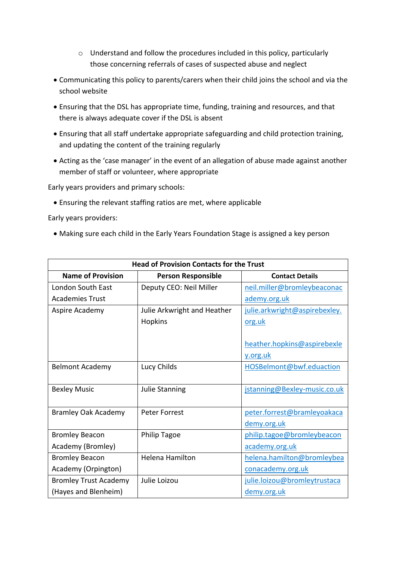- o Understand and follow the procedures included in this policy, particularly those concerning referrals of cases of suspected abuse and neglect
- Communicating this policy to parents/carers when their child joins the school and via the school website
- Ensuring that the DSL has appropriate time, funding, training and resources, and that there is always adequate cover if the DSL is absent
- Ensuring that all staff undertake appropriate safeguarding and child protection training, and updating the content of the training regularly
- Acting as the 'case manager' in the event of an allegation of abuse made against another member of staff or volunteer, where appropriate

Early years providers and primary schools:

• Ensuring the relevant staffing ratios are met, where applicable

Early years providers:

• Making sure each child in the Early Years Foundation Stage is assigned a key person

| <b>Head of Provision Contacts for the Trust</b> |                             |                               |
|-------------------------------------------------|-----------------------------|-------------------------------|
| <b>Name of Provision</b>                        | <b>Person Responsible</b>   | <b>Contact Details</b>        |
| London South East                               | Deputy CEO: Neil Miller     | neil.miller@bromleybeaconac   |
| <b>Academies Trust</b>                          |                             | ademy.org.uk                  |
| Aspire Academy                                  | Julie Arkwright and Heather | julie.arkwright@aspirebexley. |
|                                                 | <b>Hopkins</b>              | org.uk                        |
|                                                 |                             |                               |
|                                                 |                             | heather.hopkins@aspirebexle   |
|                                                 |                             | y.org.uk                      |
| <b>Belmont Academy</b>                          | Lucy Childs                 | HOSBelmont@bwf.eduaction      |
|                                                 |                             |                               |
| <b>Bexley Music</b>                             | <b>Julie Stanning</b>       | jstanning@Bexley-music.co.uk  |
|                                                 |                             |                               |
| <b>Bramley Oak Academy</b>                      | <b>Peter Forrest</b>        | peter.forrest@bramleyoakaca   |
|                                                 |                             | demy.org.uk                   |
| <b>Bromley Beacon</b>                           | <b>Philip Tagoe</b>         | philip.tagoe@bromleybeacon    |
| Academy (Bromley)                               |                             | academy.org.uk                |
| <b>Bromley Beacon</b>                           | Helena Hamilton             | helena.hamilton@bromleybea    |
| Academy (Orpington)                             |                             | conacademy.org.uk             |
| <b>Bromley Trust Academy</b>                    | Julie Loizou                | julie.loizou@bromleytrustaca  |
| (Hayes and Blenheim)                            |                             | demy.org.uk                   |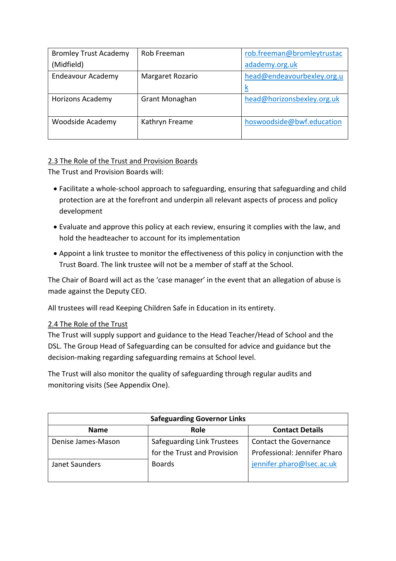| <b>Bromley Trust Academy</b> | Rob Freeman      | rob.freeman@bromleytrustac |
|------------------------------|------------------|----------------------------|
| (Midfield)                   |                  | adademy.org.uk             |
| <b>Endeavour Academy</b>     | Margaret Rozario | head@endeavourbexley.org.u |
|                              |                  | K                          |
| <b>Horizons Academy</b>      | Grant Monaghan   | head@horizonsbexley.org.uk |
|                              |                  |                            |
| Woodside Academy             | Kathryn Freame   | hoswoodside@bwf.education  |
|                              |                  |                            |

## 2.3 The Role of the Trust and Provision Boards

The Trust and Provision Boards will:

- Facilitate a whole-school approach to safeguarding, ensuring that safeguarding and child protection are at the forefront and underpin all relevant aspects of process and policy development
- Evaluate and approve this policy at each review, ensuring it complies with the law, and hold the headteacher to account for its implementation
- Appoint a link trustee to monitor the effectiveness of this policy in conjunction with the Trust Board. The link trustee will not be a member of staff at the School.

The Chair of Board will act as the 'case manager' in the event that an allegation of abuse is made against the Deputy CEO.

All trustees will read Keeping Children Safe in Education in its entirety.

#### 2.4 The Role of the Trust

The Trust will supply support and guidance to the Head Teacher/Head of School and the DSL. The Group Head of Safeguarding can be consulted for advice and guidance but the decision-making regarding safeguarding remains at School level.

The Trust will also monitor the quality of safeguarding through regular audits and monitoring visits (See Appendix One).

| <b>Safeguarding Governor Links</b> |                             |                               |
|------------------------------------|-----------------------------|-------------------------------|
| <b>Name</b>                        | Role                        | <b>Contact Details</b>        |
| Denise James-Mason                 | Safeguarding Link Trustees  | <b>Contact the Governance</b> |
|                                    | for the Trust and Provision | Professional: Jennifer Pharo  |
| Janet Saunders                     | <b>Boards</b>               | jennifer.pharo@lsec.ac.uk     |
|                                    |                             |                               |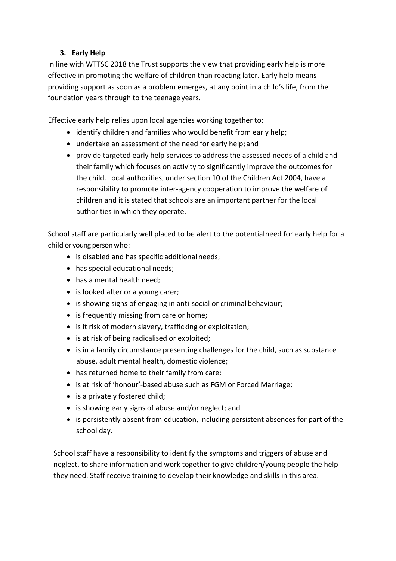## **3. Early Help**

In line with WTTSC 2018 the Trust supports the view that providing early help is more effective in promoting the welfare of children than reacting later. Early help means providing support as soon as a problem emerges, at any point in a child's life, from the foundation years through to the teenage years.

Effective early help relies upon local agencies working together to:

- identify children and families who would benefit from early help;
- undertake an assessment of the need for early help; and
- provide targeted early help services to address the assessed needs of a child and their family which focuses on activity to significantly improve the outcomes for the child. Local authorities, under section 10 of the Children Act 2004, have a responsibility to promote inter-agency cooperation to improve the welfare of children and it is stated that schools are an important partner for the local authorities in which they operate.

School staff are particularly well placed to be alert to the potentialneed for early help for a child or young person who:

- is disabled and has specific additional needs;
- has special educational needs;
- has a mental health need;
- is looked after or a young carer;
- is showing signs of engaging in anti-social or criminal behaviour;
- is frequently missing from care or home;
- is it risk of modern slavery, trafficking or exploitation;
- is at risk of being radicalised or exploited;
- is in a family circumstance presenting challenges for the child, such as substance abuse, adult mental health, domestic violence;
- has returned home to their family from care;
- is at risk of 'honour'-based abuse such as FGM or Forced Marriage;
- is a privately fostered child;
- is showing early signs of abuse and/or neglect; and
- is persistently absent from education, including persistent absences for part of the school day.

School staff have a responsibility to identify the symptoms and triggers of abuse and neglect, to share information and work together to give children/young people the help they need. Staff receive training to develop their knowledge and skills in this area.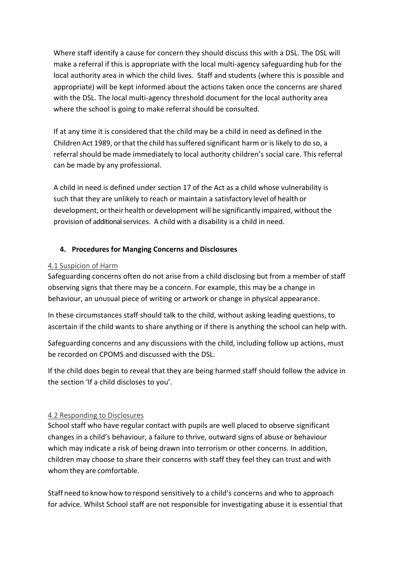Where staff identify a cause for concern they should discuss this with a DSL. The DSL will make a referral if this is appropriate with the local multi-agency safeguarding hub for the local authority area in which the child lives. Staff and students (where this is possible and appropriate) will be kept informed about the actions taken once the concerns are shared with the DSL. The local multi-agency threshold document for the local authority area where the school is going to make referral should be consulted.

If at any time it is considered that the child may be a child in need as defined in the Children Act 1989, or that the child has suffered significant harm or is likely to do so, a referral should be made immediately to local authority children's social care. This referral can be made by any professional.

A child in need is defined under section 17 of the Act as a child whose vulnerability is such that they are unlikely to reach or maintain a satisfactory level of health or development, ortheir health or development will be significantly impaired, without the provision of additional services. A child with a disability is a child in need.

## **4. Procedures for Manging Concerns and Disclosures**

#### 4.1 Suspicion of Harm

Safeguarding concerns often do not arise from a child disclosing but from a member of staff observing signs that there may be a concern. For example, this may be a change in behaviour, an unusual piece of writing or artwork or change in physical appearance.

In these circumstances staff should talk to the child, without asking leading questions, to ascertain if the child wants to share anything or if there is anything the school can help with.

Safeguarding concerns and any discussions with the child, including follow up actions, must be recorded on CPOMS and discussed with the DSL.

If the child does begin to reveal that they are being harmed staff should follow the advice in the section 'If a child discloses to you'.

## 4.2 Responding to Disclosures

School staff who have regular contact with pupils are well placed to observe significant changes in a child's behaviour, a failure to thrive, outward signs of abuse or behaviour which may indicate a risk of being drawn into terrorism or other concerns. In addition, children may choose to share their concerns with staff they feel they can trust and with whom they are comfortable.

Staff need to know how to respond sensitively to a child's concerns and who to approach for advice. Whilst School staff are not responsible for investigating abuse it is essential that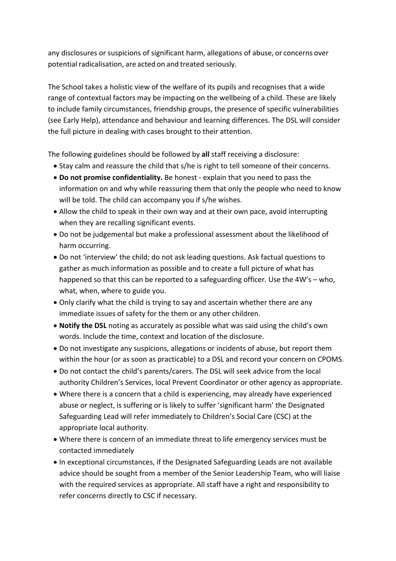any disclosures or suspicions of significant harm, allegations of abuse, or concerns over potential radicalisation, are acted on and treated seriously.

The School takes a holistic view of the welfare of its pupils and recognises that a wide range of contextual factors may be impacting on the wellbeing of a child. These are likely to include family circumstances, friendship groups, the presence of specific vulnerabilities (see Early Help), attendance and behaviour and learning differences. The DSL will consider the full picture in dealing with cases brought to their attention.

The following guidelines should be followed by **all** staff receiving a disclosure:

- Stay calm and reassure the child that s/he is right to tell someone of their concerns.
- **Do not promise confidentiality.** Be honest explain that you need to pass the information on and why while reassuring them that only the people who need to know will be told. The child can accompany you if s/he wishes.
- Allow the child to speak in their own way and at their own pace, avoid interrupting when they are recalling significant events.
- Do not be judgemental but make a professional assessment about the likelihood of harm occurring.
- Do not 'interview' the child; do not ask leading questions. Ask factual questions to gather as much information as possible and to create a full picture of what has happened so that this can be reported to a safeguarding officer. Use the 4W's – who, what, when, where to guide you.
- Only clarify what the child is trying to say and ascertain whether there are any immediate issues of safety for the them or any other children.
- **Notify the DSL** noting as accurately as possible what was said using the child's own words. Include the time, context and location of the disclosure.
- Do not investigate any suspicions, allegations or incidents of abuse, but report them within the hour (or as soon as practicable) to a DSL and record your concern on CPOMS.
- Do not contact the child's parents/carers. The DSL will seek advice from the local authority Children's Services, local Prevent Coordinator or other agency as appropriate.
- Where there is a concern that a child is experiencing, may already have experienced abuse or neglect, is suffering or is likely to suffer 'significant harm' the Designated Safeguarding Lead will refer immediately to Children's Social Care (CSC) at the appropriate local authority.
- Where there is concern of an immediate threat to life emergency services must be contacted immediately
- In exceptional circumstances, if the Designated Safeguarding Leads are not available advice should be sought from a member of the Senior Leadership Team, who will liaise with the required services as appropriate. All staff have a right and responsibility to refer concerns directly to CSC if necessary.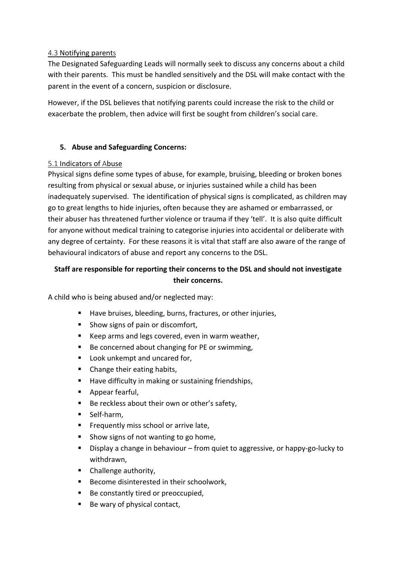#### 4.3 Notifying parents

The Designated Safeguarding Leads will normally seek to discuss any concerns about a child with their parents. This must be handled sensitively and the DSL will make contact with the parent in the event of a concern, suspicion or disclosure.

However, if the DSL believes that notifying parents could increase the risk to the child or exacerbate the problem, then advice will first be sought from children's social care.

## **5. Abuse and Safeguarding Concerns:**

#### 5.1 Indicators of Abuse

Physical signs define some types of abuse, for example, bruising, bleeding or broken bones resulting from physical or sexual abuse, or injuries sustained while a child has been inadequately supervised. The identification of physical signs is complicated, as children may go to great lengths to hide injuries, often because they are ashamed or embarrassed, or their abuser has threatened further violence or trauma if they 'tell'. It is also quite difficult for anyone without medical training to categorise injuries into accidental or deliberate with any degree of certainty. For these reasons it is vital that staff are also aware of the range of behavioural indicators of abuse and report any concerns to the DSL.

## **Staff are responsible for reporting their concerns to the DSL and should not investigate their concerns.**

A child who is being abused and/or neglected may:

- Have bruises, bleeding, burns, fractures, or other injuries,
- Show signs of pain or discomfort,
- Keep arms and legs covered, even in warm weather,
- Be concerned about changing for PE or swimming,
- Look unkempt and uncared for,
- § Change their eating habits,
- Have difficulty in making or sustaining friendships,
- § Appear fearful,
- Be reckless about their own or other's safety,
- § Self-harm,
- Frequently miss school or arrive late,
- § Show signs of not wanting to go home,
- Display a change in behaviour from quiet to aggressive, or happy-go-lucky to withdrawn,
- Challenge authority,
- § Become disinterested in their schoolwork,
- Be constantly tired or preoccupied,
- Be wary of physical contact,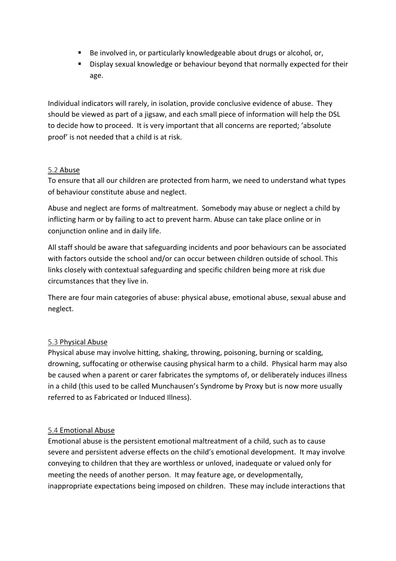- Be involved in, or particularly knowledgeable about drugs or alcohol, or,
- § Display sexual knowledge or behaviour beyond that normally expected for their age.

Individual indicators will rarely, in isolation, provide conclusive evidence of abuse. They should be viewed as part of a jigsaw, and each small piece of information will help the DSL to decide how to proceed. It is very important that all concerns are reported; 'absolute proof' is not needed that a child is at risk.

#### 5.2 Abuse

To ensure that all our children are protected from harm, we need to understand what types of behaviour constitute abuse and neglect.

Abuse and neglect are forms of maltreatment. Somebody may abuse or neglect a child by inflicting harm or by failing to act to prevent harm. Abuse can take place online or in conjunction online and in daily life.

All staff should be aware that safeguarding incidents and poor behaviours can be associated with factors outside the school and/or can occur between children outside of school. This links closely with contextual safeguarding and specific children being more at risk due circumstances that they live in.

There are four main categories of abuse: physical abuse, emotional abuse, sexual abuse and neglect.

#### 5.3 Physical Abuse

Physical abuse may involve hitting, shaking, throwing, poisoning, burning or scalding, drowning, suffocating or otherwise causing physical harm to a child. Physical harm may also be caused when a parent or carer fabricates the symptoms of, or deliberately induces illness in a child (this used to be called Munchausen's Syndrome by Proxy but is now more usually referred to as Fabricated or Induced Illness).

#### 5.4 Emotional Abuse

Emotional abuse is the persistent emotional maltreatment of a child, such as to cause severe and persistent adverse effects on the child's emotional development. It may involve conveying to children that they are worthless or unloved, inadequate or valued only for meeting the needs of another person. It may feature age, or developmentally, inappropriate expectations being imposed on children. These may include interactions that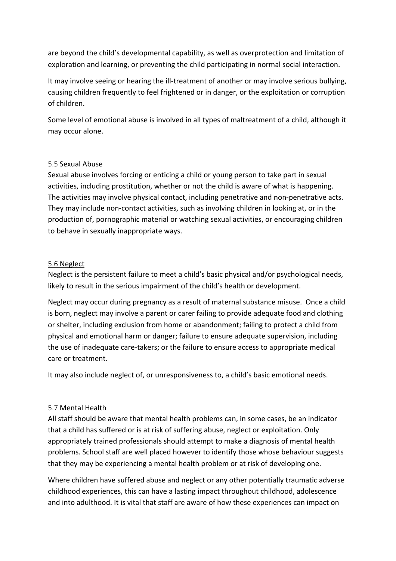are beyond the child's developmental capability, as well as overprotection and limitation of exploration and learning, or preventing the child participating in normal social interaction.

It may involve seeing or hearing the ill-treatment of another or may involve serious bullying, causing children frequently to feel frightened or in danger, or the exploitation or corruption of children.

Some level of emotional abuse is involved in all types of maltreatment of a child, although it may occur alone.

#### 5.5 Sexual Abuse

Sexual abuse involves forcing or enticing a child or young person to take part in sexual activities, including prostitution, whether or not the child is aware of what is happening. The activities may involve physical contact, including penetrative and non-penetrative acts. They may include non-contact activities, such as involving children in looking at, or in the production of, pornographic material or watching sexual activities, or encouraging children to behave in sexually inappropriate ways.

#### 5.6 Neglect

Neglect is the persistent failure to meet a child's basic physical and/or psychological needs, likely to result in the serious impairment of the child's health or development.

Neglect may occur during pregnancy as a result of maternal substance misuse. Once a child is born, neglect may involve a parent or carer failing to provide adequate food and clothing or shelter, including exclusion from home or abandonment; failing to protect a child from physical and emotional harm or danger; failure to ensure adequate supervision, including the use of inadequate care-takers; or the failure to ensure access to appropriate medical care or treatment.

It may also include neglect of, or unresponsiveness to, a child's basic emotional needs.

#### 5.7 Mental Health

All staff should be aware that mental health problems can, in some cases, be an indicator that a child has suffered or is at risk of suffering abuse, neglect or exploitation. Only appropriately trained professionals should attempt to make a diagnosis of mental health problems. School staff are well placed however to identify those whose behaviour suggests that they may be experiencing a mental health problem or at risk of developing one.

Where children have suffered abuse and neglect or any other potentially traumatic adverse childhood experiences, this can have a lasting impact throughout childhood, adolescence and into adulthood. It is vital that staff are aware of how these experiences can impact on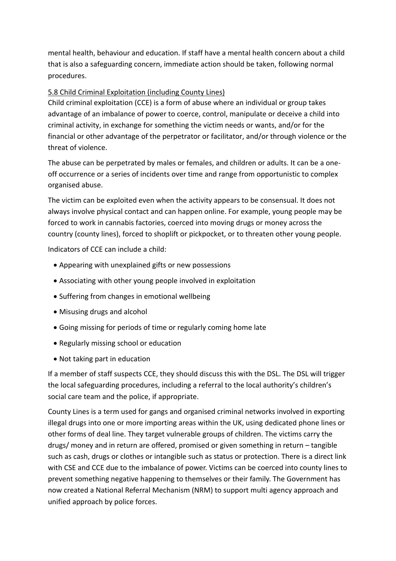mental health, behaviour and education. If staff have a mental health concern about a child that is also a safeguarding concern, immediate action should be taken, following normal procedures.

## 5.8 Child Criminal Exploitation (including County Lines)

Child criminal exploitation (CCE) is a form of abuse where an individual or group takes advantage of an imbalance of power to coerce, control, manipulate or deceive a child into criminal activity, in exchange for something the victim needs or wants, and/or for the financial or other advantage of the perpetrator or facilitator, and/or through violence or the threat of violence.

The abuse can be perpetrated by males or females, and children or adults. It can be a oneoff occurrence or a series of incidents over time and range from opportunistic to complex organised abuse.

The victim can be exploited even when the activity appears to be consensual. It does not always involve physical contact and can happen online. For example, young people may be forced to work in cannabis factories, coerced into moving drugs or money across the country (county lines), forced to shoplift or pickpocket, or to threaten other young people.

Indicators of CCE can include a child:

- Appearing with unexplained gifts or new possessions
- Associating with other young people involved in exploitation
- Suffering from changes in emotional wellbeing
- Misusing drugs and alcohol
- Going missing for periods of time or regularly coming home late
- Regularly missing school or education
- Not taking part in education

If a member of staff suspects CCE, they should discuss this with the DSL. The DSL will trigger the local safeguarding procedures, including a referral to the local authority's children's social care team and the police, if appropriate.

County Lines is a term used for gangs and organised criminal networks involved in exporting illegal drugs into one or more importing areas within the UK, using dedicated phone lines or other forms of deal line. They target vulnerable groups of children. The victims carry the drugs/ money and in return are offered, promised or given something in return – tangible such as cash, drugs or clothes or intangible such as status or protection. There is a direct link with CSE and CCE due to the imbalance of power. Victims can be coerced into county lines to prevent something negative happening to themselves or their family. The Government has now created a National Referral Mechanism (NRM) to support multi agency approach and unified approach by police forces.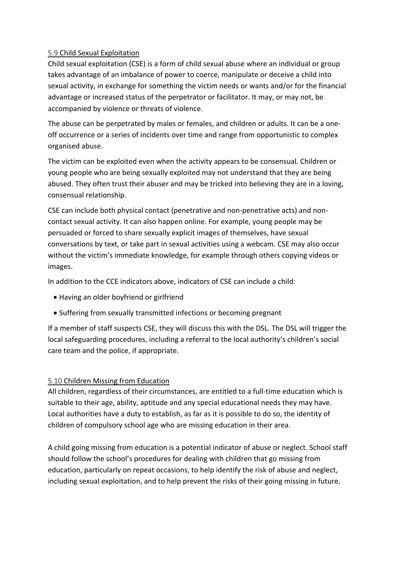#### 5.9 Child Sexual Exploitation

Child sexual exploitation (CSE) is a form of child sexual abuse where an individual or group takes advantage of an imbalance of power to coerce, manipulate or deceive a child into sexual activity, in exchange for something the victim needs or wants and/or for the financial advantage or increased status of the perpetrator or facilitator. It may, or may not, be accompanied by violence or threats of violence.

The abuse can be perpetrated by males or females, and children or adults. It can be a oneoff occurrence or a series of incidents over time and range from opportunistic to complex organised abuse.

The victim can be exploited even when the activity appears to be consensual. Children or young people who are being sexually exploited may not understand that they are being abused. They often trust their abuser and may be tricked into believing they are in a loving, consensual relationship.

CSE can include both physical contact (penetrative and non-penetrative acts) and noncontact sexual activity. It can also happen online. For example, young people may be persuaded or forced to share sexually explicit images of themselves, have sexual conversations by text, or take part in sexual activities using a webcam. CSE may also occur without the victim's immediate knowledge, for example through others copying videos or images.

In addition to the CCE indicators above, indicators of CSE can include a child:

- Having an older boyfriend or girlfriend
- Suffering from sexually transmitted infections or becoming pregnant

If a member of staff suspects CSE, they will discuss this with the DSL. The DSL will trigger the local safeguarding procedures, including a referral to the local authority's children's social care team and the police, if appropriate.

## 5.10 Children Missing from Education

All children, regardless of their circumstances, are entitled to a full-time education which is suitable to their age, ability, aptitude and any special educational needs they may have. Local authorities have a duty to establish, as far as it is possible to do so, the identity of children of compulsory school age who are missing education in their area.

A child going missing from education is a potential indicator of abuse or neglect. School staff should follow the school's procedures for dealing with children that go missing from education, particularly on repeat occasions, to help identify the risk of abuse and neglect, including sexual exploitation, and to help prevent the risks of their going missing in future.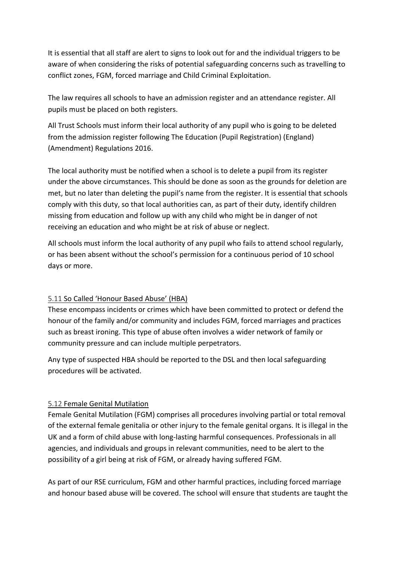It is essential that all staff are alert to signs to look out for and the individual triggers to be aware of when considering the risks of potential safeguarding concerns such as travelling to conflict zones, FGM, forced marriage and Child Criminal Exploitation.

The law requires all schools to have an admission register and an attendance register. All pupils must be placed on both registers.

All Trust Schools must inform their local authority of any pupil who is going to be deleted from the admission register following The Education (Pupil Registration) (England) (Amendment) Regulations 2016.

The local authority must be notified when a school is to delete a pupil from its register under the above circumstances. This should be done as soon as the grounds for deletion are met, but no later than deleting the pupil's name from the register. It is essential that schools comply with this duty, so that local authorities can, as part of their duty, identify children missing from education and follow up with any child who might be in danger of not receiving an education and who might be at risk of abuse or neglect.

All schools must inform the local authority of any pupil who fails to attend school regularly, or has been absent without the school's permission for a continuous period of 10 school days or more.

## 5.11 So Called 'Honour Based Abuse' (HBA)

These encompass incidents or crimes which have been committed to protect or defend the honour of the family and/or community and includes FGM, forced marriages and practices such as breast ironing. This type of abuse often involves a wider network of family or community pressure and can include multiple perpetrators.

Any type of suspected HBA should be reported to the DSL and then local safeguarding procedures will be activated.

## 5.12 Female Genital Mutilation

Female Genital Mutilation (FGM) comprises all procedures involving partial or total removal of the external female genitalia or other injury to the female genital organs. It is illegal in the UK and a form of child abuse with long-lasting harmful consequences. Professionals in all agencies, and individuals and groups in relevant communities, need to be alert to the possibility of a girl being at risk of FGM, or already having suffered FGM.

As part of our RSE curriculum, FGM and other harmful practices, including forced marriage and honour based abuse will be covered. The school will ensure that students are taught the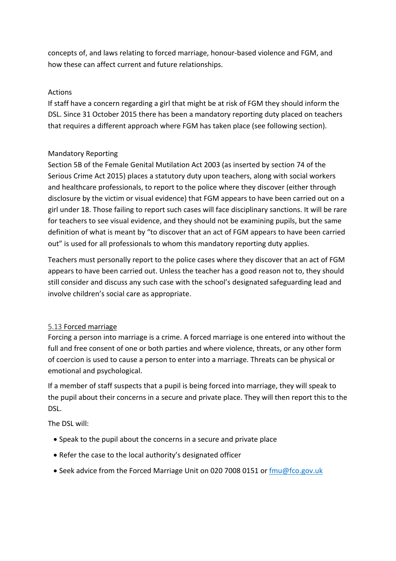concepts of, and laws relating to forced marriage, honour-based violence and FGM, and how these can affect current and future relationships.

#### Actions

If staff have a concern regarding a girl that might be at risk of FGM they should inform the DSL. Since 31 October 2015 there has been a mandatory reporting duty placed on teachers that requires a different approach where FGM has taken place (see following section).

#### Mandatory Reporting

Section 5B of the Female Genital Mutilation Act 2003 (as inserted by section 74 of the Serious Crime Act 2015) places a statutory duty upon teachers, along with social workers and healthcare professionals, to report to the police where they discover (either through disclosure by the victim or visual evidence) that FGM appears to have been carried out on a girl under 18. Those failing to report such cases will face disciplinary sanctions. It will be rare for teachers to see visual evidence, and they should not be examining pupils, but the same definition of what is meant by "to discover that an act of FGM appears to have been carried out" is used for all professionals to whom this mandatory reporting duty applies.

Teachers must personally report to the police cases where they discover that an act of FGM appears to have been carried out. Unless the teacher has a good reason not to, they should still consider and discuss any such case with the school's designated safeguarding lead and involve children's social care as appropriate.

## 5.13 Forced marriage

Forcing a person into marriage is a crime. A forced marriage is one entered into without the full and free consent of one or both parties and where violence, threats, or any other form of coercion is used to cause a person to enter into a marriage. Threats can be physical or emotional and psychological.

If a member of staff suspects that a pupil is being forced into marriage, they will speak to the pupil about their concerns in a secure and private place. They will then report this to the DSL.

The DSL will:

- Speak to the pupil about the concerns in a secure and private place
- Refer the case to the local authority's designated officer
- Seek advice from the Forced Marriage Unit on 020 7008 0151 or fmu@fco.gov.uk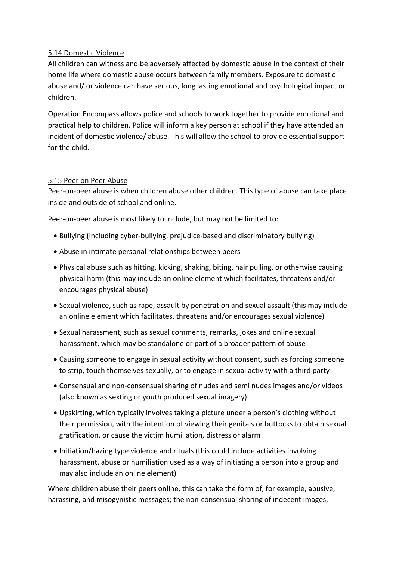#### 5.14 Domestic Violence

All children can witness and be adversely affected by domestic abuse in the context of their home life where domestic abuse occurs between family members. Exposure to domestic abuse and/ or violence can have serious, long lasting emotional and psychological impact on children.

Operation Encompass allows police and schools to work together to provide emotional and practical help to children. Police will inform a key person at school if they have attended an incident of domestic violence/ abuse. This will allow the school to provide essential support for the child.

#### 5.15 Peer on Peer Abuse

Peer-on-peer abuse is when children abuse other children. This type of abuse can take place inside and outside of school and online.

Peer-on-peer abuse is most likely to include, but may not be limited to:

- Bullying (including cyber-bullying, prejudice-based and discriminatory bullying)
- Abuse in intimate personal relationships between peers
- Physical abuse such as hitting, kicking, shaking, biting, hair pulling, or otherwise causing physical harm (this may include an online element which facilitates, threatens and/or encourages physical abuse)
- Sexual violence, such as rape, assault by penetration and sexual assault (this may include an online element which facilitates, threatens and/or encourages sexual violence)
- Sexual harassment, such as sexual comments, remarks, jokes and online sexual harassment, which may be standalone or part of a broader pattern of abuse
- Causing someone to engage in sexual activity without consent, such as forcing someone to strip, touch themselves sexually, or to engage in sexual activity with a third party
- Consensual and non-consensual sharing of nudes and semi nudes images and/or videos (also known as sexting or youth produced sexual imagery)
- Upskirting, which typically involves taking a picture under a person's clothing without their permission, with the intention of viewing their genitals or buttocks to obtain sexual gratification, or cause the victim humiliation, distress or alarm
- Initiation/hazing type violence and rituals (this could include activities involving harassment, abuse or humiliation used as a way of initiating a person into a group and may also include an online element)

Where children abuse their peers online, this can take the form of, for example, abusive, harassing, and misogynistic messages; the non-consensual sharing of indecent images,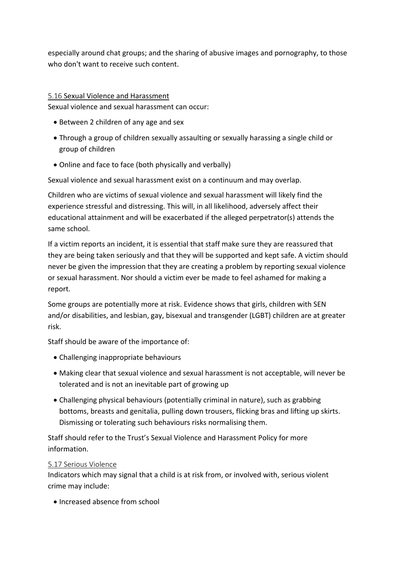especially around chat groups; and the sharing of abusive images and pornography, to those who don't want to receive such content.

#### 5.16 Sexual Violence and Harassment

Sexual violence and sexual harassment can occur:

- Between 2 children of any age and sex
- Through a group of children sexually assaulting or sexually harassing a single child or group of children
- Online and face to face (both physically and verbally)

Sexual violence and sexual harassment exist on a continuum and may overlap.

Children who are victims of sexual violence and sexual harassment will likely find the experience stressful and distressing. This will, in all likelihood, adversely affect their educational attainment and will be exacerbated if the alleged perpetrator(s) attends the same school.

If a victim reports an incident, it is essential that staff make sure they are reassured that they are being taken seriously and that they will be supported and kept safe. A victim should never be given the impression that they are creating a problem by reporting sexual violence or sexual harassment. Nor should a victim ever be made to feel ashamed for making a report.

Some groups are potentially more at risk. Evidence shows that girls, children with SEN and/or disabilities, and lesbian, gay, bisexual and transgender (LGBT) children are at greater risk.

Staff should be aware of the importance of:

- Challenging inappropriate behaviours
- Making clear that sexual violence and sexual harassment is not acceptable, will never be tolerated and is not an inevitable part of growing up
- Challenging physical behaviours (potentially criminal in nature), such as grabbing bottoms, breasts and genitalia, pulling down trousers, flicking bras and lifting up skirts. Dismissing or tolerating such behaviours risks normalising them.

Staff should refer to the Trust's Sexual Violence and Harassment Policy for more information.

#### 5.17 Serious Violence

Indicators which may signal that a child is at risk from, or involved with, serious violent crime may include:

• Increased absence from school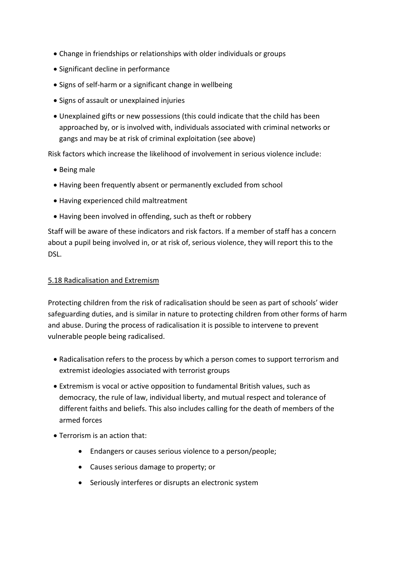- Change in friendships or relationships with older individuals or groups
- Significant decline in performance
- Signs of self-harm or a significant change in wellbeing
- Signs of assault or unexplained injuries
- Unexplained gifts or new possessions (this could indicate that the child has been approached by, or is involved with, individuals associated with criminal networks or gangs and may be at risk of criminal exploitation (see above)

Risk factors which increase the likelihood of involvement in serious violence include:

- Being male
- Having been frequently absent or permanently excluded from school
- Having experienced child maltreatment
- Having been involved in offending, such as theft or robbery

Staff will be aware of these indicators and risk factors. If a member of staff has a concern about a pupil being involved in, or at risk of, serious violence, they will report this to the DSL.

#### 5.18 Radicalisation and Extremism

Protecting children from the risk of radicalisation should be seen as part of schools' wider safeguarding duties, and is similar in nature to protecting children from other forms of harm and abuse. During the process of radicalisation it is possible to intervene to prevent vulnerable people being radicalised.

- Radicalisation refers to the process by which a person comes to support terrorism and extremist ideologies associated with terrorist groups
- Extremism is vocal or active opposition to fundamental British values, such as democracy, the rule of law, individual liberty, and mutual respect and tolerance of different faiths and beliefs. This also includes calling for the death of members of the armed forces
- Terrorism is an action that:
	- Endangers or causes serious violence to a person/people;
	- Causes serious damage to property; or
	- Seriously interferes or disrupts an electronic system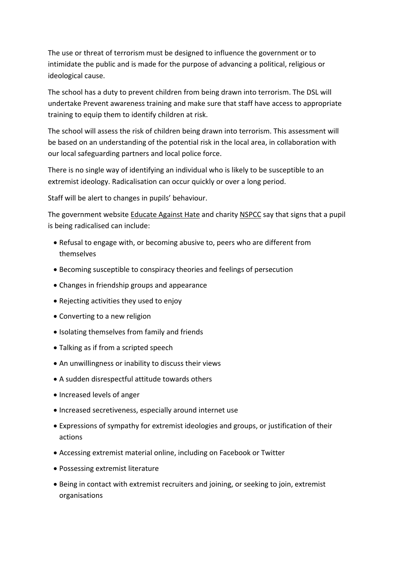The use or threat of terrorism must be designed to influence the government or to intimidate the public and is made for the purpose of advancing a political, religious or ideological cause.

The school has a duty to prevent children from being drawn into terrorism. The DSL will undertake Prevent awareness training and make sure that staff have access to appropriate training to equip them to identify children at risk.

The school will assess the risk of children being drawn into terrorism. This assessment will be based on an understanding of the potential risk in the local area, in collaboration with our local safeguarding partners and local police force.

There is no single way of identifying an individual who is likely to be susceptible to an extremist ideology. Radicalisation can occur quickly or over a long period.

Staff will be alert to changes in pupils' behaviour.

The government website Educate Against Hate and charity NSPCC say that signs that a pupil is being radicalised can include:

- Refusal to engage with, or becoming abusive to, peers who are different from themselves
- Becoming susceptible to conspiracy theories and feelings of persecution
- Changes in friendship groups and appearance
- Rejecting activities they used to enjoy
- Converting to a new religion
- Isolating themselves from family and friends
- Talking as if from a scripted speech
- An unwillingness or inability to discuss their views
- A sudden disrespectful attitude towards others
- Increased levels of anger
- Increased secretiveness, especially around internet use
- Expressions of sympathy for extremist ideologies and groups, or justification of their actions
- Accessing extremist material online, including on Facebook or Twitter
- Possessing extremist literature
- Being in contact with extremist recruiters and joining, or seeking to join, extremist organisations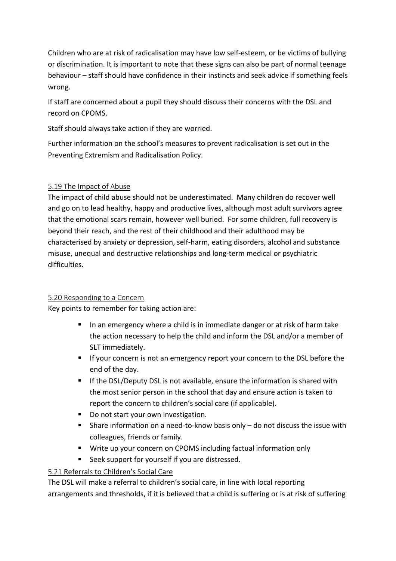Children who are at risk of radicalisation may have low self-esteem, or be victims of bullying or discrimination. It is important to note that these signs can also be part of normal teenage behaviour – staff should have confidence in their instincts and seek advice if something feels wrong.

If staff are concerned about a pupil they should discuss their concerns with the DSL and record on CPOMS.

Staff should always take action if they are worried.

Further information on the school's measures to prevent radicalisation is set out in the Preventing Extremism and Radicalisation Policy.

## 5.19 The Impact of Abuse

The impact of child abuse should not be underestimated. Many children do recover well and go on to lead healthy, happy and productive lives, although most adult survivors agree that the emotional scars remain, however well buried. For some children, full recovery is beyond their reach, and the rest of their childhood and their adulthood may be characterised by anxiety or depression, self-harm, eating disorders, alcohol and substance misuse, unequal and destructive relationships and long-term medical or psychiatric difficulties.

## 5.20 Responding to a Concern

Key points to remember for taking action are:

- § In an emergency where a child is in immediate danger or at risk of harm take the action necessary to help the child and inform the DSL and/or a member of SLT immediately.
- If your concern is not an emergency report your concern to the DSL before the end of the day.
- If the DSL/Deputy DSL is not available, ensure the information is shared with the most senior person in the school that day and ensure action is taken to report the concern to children's social care (if applicable).
- Do not start your own investigation.
- Share information on a need-to-know basis only do not discuss the issue with colleagues, friends or family.
- Write up your concern on CPOMS including factual information only
- Seek support for yourself if you are distressed.

## 5.21 Referrals to Children's Social Care

The DSL will make a referral to children's social care, in line with local reporting arrangements and thresholds, if it is believed that a child is suffering or is at risk of suffering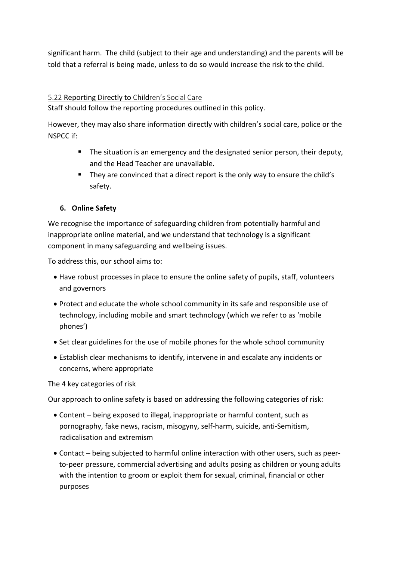significant harm. The child (subject to their age and understanding) and the parents will be told that a referral is being made, unless to do so would increase the risk to the child.

#### 5.22 Reporting Directly to Children's Social Care

Staff should follow the reporting procedures outlined in this policy.

However, they may also share information directly with children's social care, police or the NSPCC if:

- The situation is an emergency and the designated senior person, their deputy, and the Head Teacher are unavailable.
- They are convinced that a direct report is the only way to ensure the child's safety.

#### **6. Online Safety**

We recognise the importance of safeguarding children from potentially harmful and inappropriate online material, and we understand that technology is a significant component in many safeguarding and wellbeing issues.

To address this, our school aims to:

- Have robust processes in place to ensure the online safety of pupils, staff, volunteers and governors
- Protect and educate the whole school community in its safe and responsible use of technology, including mobile and smart technology (which we refer to as 'mobile phones')
- Set clear guidelines for the use of mobile phones for the whole school community
- Establish clear mechanisms to identify, intervene in and escalate any incidents or concerns, where appropriate

The 4 key categories of risk

Our approach to online safety is based on addressing the following categories of risk:

- Content being exposed to illegal, inappropriate or harmful content, such as pornography, fake news, racism, misogyny, self-harm, suicide, anti-Semitism, radicalisation and extremism
- Contact being subjected to harmful online interaction with other users, such as peerto-peer pressure, commercial advertising and adults posing as children or young adults with the intention to groom or exploit them for sexual, criminal, financial or other purposes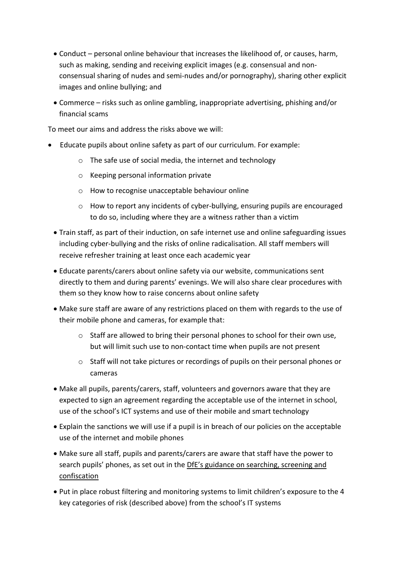- Conduct personal online behaviour that increases the likelihood of, or causes, harm, such as making, sending and receiving explicit images (e.g. consensual and nonconsensual sharing of nudes and semi-nudes and/or pornography), sharing other explicit images and online bullying; and
- Commerce risks such as online gambling, inappropriate advertising, phishing and/or financial scams

To meet our aims and address the risks above we will:

- Educate pupils about online safety as part of our curriculum. For example:
	- o The safe use of social media, the internet and technology
	- o Keeping personal information private
	- o How to recognise unacceptable behaviour online
	- o How to report any incidents of cyber-bullying, ensuring pupils are encouraged to do so, including where they are a witness rather than a victim
	- Train staff, as part of their induction, on safe internet use and online safeguarding issues including cyber-bullying and the risks of online radicalisation. All staff members will receive refresher training at least once each academic year
	- Educate parents/carers about online safety via our website, communications sent directly to them and during parents' evenings. We will also share clear procedures with them so they know how to raise concerns about online safety
	- Make sure staff are aware of any restrictions placed on them with regards to the use of their mobile phone and cameras, for example that:
		- o Staff are allowed to bring their personal phones to school for their own use, but will limit such use to non-contact time when pupils are not present
		- o Staff will not take pictures or recordings of pupils on their personal phones or cameras
	- Make all pupils, parents/carers, staff, volunteers and governors aware that they are expected to sign an agreement regarding the acceptable use of the internet in school, use of the school's ICT systems and use of their mobile and smart technology
	- Explain the sanctions we will use if a pupil is in breach of our policies on the acceptable use of the internet and mobile phones
	- Make sure all staff, pupils and parents/carers are aware that staff have the power to search pupils' phones, as set out in the DfE's guidance on searching, screening and confiscation
	- Put in place robust filtering and monitoring systems to limit children's exposure to the 4 key categories of risk (described above) from the school's IT systems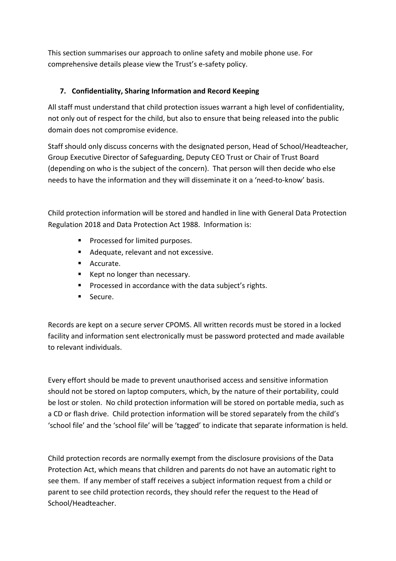This section summarises our approach to online safety and mobile phone use. For comprehensive details please view the Trust's e-safety policy.

## **7. Confidentiality, Sharing Information and Record Keeping**

All staff must understand that child protection issues warrant a high level of confidentiality, not only out of respect for the child, but also to ensure that being released into the public domain does not compromise evidence.

Staff should only discuss concerns with the designated person, Head of School/Headteacher, Group Executive Director of Safeguarding, Deputy CEO Trust or Chair of Trust Board (depending on who is the subject of the concern). That person will then decide who else needs to have the information and they will disseminate it on a 'need-to-know' basis.

Child protection information will be stored and handled in line with General Data Protection Regulation 2018 and Data Protection Act 1988. Information is:

- Processed for limited purposes.
- Adequate, relevant and not excessive.
- Accurate.
- Kept no longer than necessary.
- Processed in accordance with the data subject's rights.
- Secure.

Records are kept on a secure server CPOMS. All written records must be stored in a locked facility and information sent electronically must be password protected and made available to relevant individuals.

Every effort should be made to prevent unauthorised access and sensitive information should not be stored on laptop computers, which, by the nature of their portability, could be lost or stolen. No child protection information will be stored on portable media, such as a CD or flash drive. Child protection information will be stored separately from the child's 'school file' and the 'school file' will be 'tagged' to indicate that separate information is held.

Child protection records are normally exempt from the disclosure provisions of the Data Protection Act, which means that children and parents do not have an automatic right to see them. If any member of staff receives a subject information request from a child or parent to see child protection records, they should refer the request to the Head of School/Headteacher.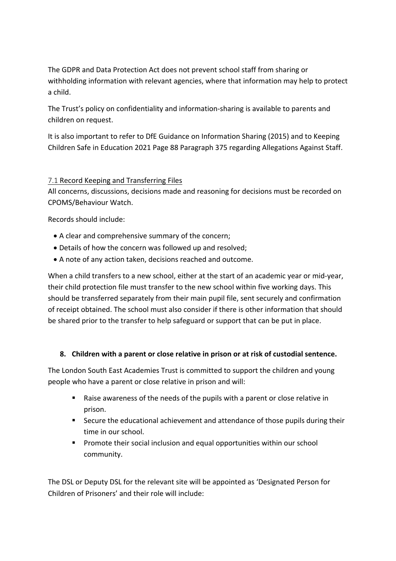The GDPR and Data Protection Act does not prevent school staff from sharing or withholding information with relevant agencies, where that information may help to protect a child.

The Trust's policy on confidentiality and information-sharing is available to parents and children on request.

It is also important to refer to DfE Guidance on Information Sharing (2015) and to Keeping Children Safe in Education 2021 Page 88 Paragraph 375 regarding Allegations Against Staff.

## 7.1 Record Keeping and Transferring Files

All concerns, discussions, decisions made and reasoning for decisions must be recorded on CPOMS/Behaviour Watch.

Records should include:

- A clear and comprehensive summary of the concern;
- Details of how the concern was followed up and resolved;
- A note of any action taken, decisions reached and outcome.

When a child transfers to a new school, either at the start of an academic year or mid-year, their child protection file must transfer to the new school within five working days. This should be transferred separately from their main pupil file, sent securely and confirmation of receipt obtained. The school must also consider if there is other information that should be shared prior to the transfer to help safeguard or support that can be put in place.

## **8. Children with a parent or close relative in prison or at risk of custodial sentence.**

The London South East Academies Trust is committed to support the children and young people who have a parent or close relative in prison and will:

- § Raise awareness of the needs of the pupils with a parent or close relative in prison.
- Secure the educational achievement and attendance of those pupils during their time in our school.
- Promote their social inclusion and equal opportunities within our school community.

The DSL or Deputy DSL for the relevant site will be appointed as 'Designated Person for Children of Prisoners' and their role will include: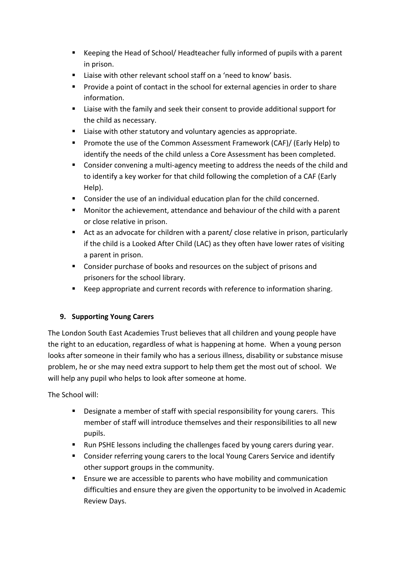- § Keeping the Head of School/ Headteacher fully informed of pupils with a parent in prison.
- Liaise with other relevant school staff on a 'need to know' basis.
- § Provide a point of contact in the school for external agencies in order to share information.
- Liaise with the family and seek their consent to provide additional support for the child as necessary.
- Liaise with other statutory and voluntary agencies as appropriate.
- § Promote the use of the Common Assessment Framework (CAF)/ (Early Help) to identify the needs of the child unless a Core Assessment has been completed.
- § Consider convening a multi-agency meeting to address the needs of the child and to identify a key worker for that child following the completion of a CAF (Early Help).
- Consider the use of an individual education plan for the child concerned.
- § Monitor the achievement, attendance and behaviour of the child with a parent or close relative in prison.
- Act as an advocate for children with a parent/ close relative in prison, particularly if the child is a Looked After Child (LAC) as they often have lower rates of visiting a parent in prison.
- Consider purchase of books and resources on the subject of prisons and prisoners for the school library.
- Keep appropriate and current records with reference to information sharing.

## **9. Supporting Young Carers**

The London South East Academies Trust believes that all children and young people have the right to an education, regardless of what is happening at home. When a young person looks after someone in their family who has a serious illness, disability or substance misuse problem, he or she may need extra support to help them get the most out of school. We will help any pupil who helps to look after someone at home.

The School will:

- Designate a member of staff with special responsibility for young carers. This member of staff will introduce themselves and their responsibilities to all new pupils.
- Run PSHE lessons including the challenges faced by young carers during year.
- § Consider referring young carers to the local Young Carers Service and identify other support groups in the community.
- Ensure we are accessible to parents who have mobility and communication difficulties and ensure they are given the opportunity to be involved in Academic Review Days.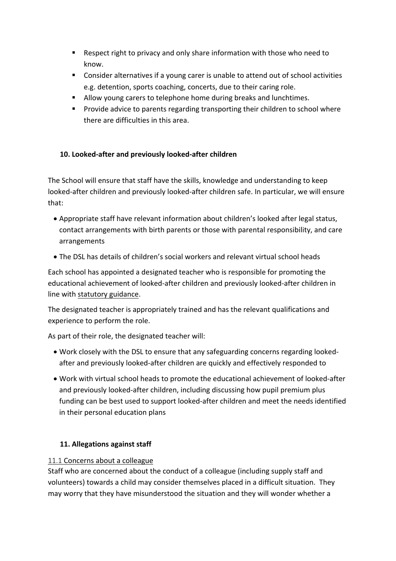- Respect right to privacy and only share information with those who need to know.
- Consider alternatives if a young carer is unable to attend out of school activities e.g. detention, sports coaching, concerts, due to their caring role.
- Allow young carers to telephone home during breaks and lunchtimes.
- § Provide advice to parents regarding transporting their children to school where there are difficulties in this area.

## **10. Looked-after and previously looked-after children**

The School will ensure that staff have the skills, knowledge and understanding to keep looked-after children and previously looked-after children safe. In particular, we will ensure that:

- Appropriate staff have relevant information about children's looked after legal status, contact arrangements with birth parents or those with parental responsibility, and care arrangements
- The DSL has details of children's social workers and relevant virtual school heads

Each school has appointed a designated teacher who is responsible for promoting the educational achievement of looked-after children and previously looked-after children in line with statutory guidance.

The designated teacher is appropriately trained and has the relevant qualifications and experience to perform the role.

As part of their role, the designated teacher will:

- Work closely with the DSL to ensure that any safeguarding concerns regarding lookedafter and previously looked-after children are quickly and effectively responded to
- Work with virtual school heads to promote the educational achievement of looked-after and previously looked-after children, including discussing how pupil premium plus funding can be best used to support looked-after children and meet the needs identified in their personal education plans

## **11. Allegations against staff**

## 11.1 Concerns about a colleague

Staff who are concerned about the conduct of a colleague (including supply staff and volunteers) towards a child may consider themselves placed in a difficult situation. They may worry that they have misunderstood the situation and they will wonder whether a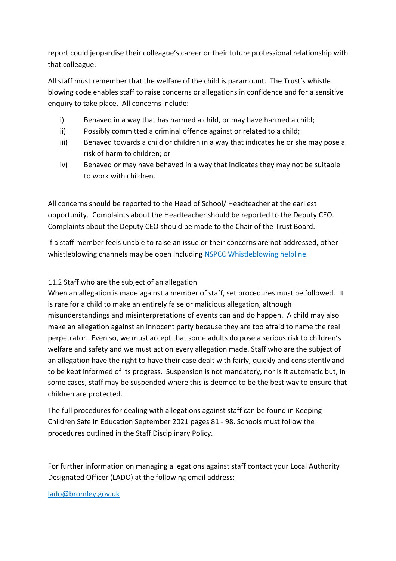report could jeopardise their colleague's career or their future professional relationship with that colleague.

All staff must remember that the welfare of the child is paramount. The Trust's whistle blowing code enables staff to raise concerns or allegations in confidence and for a sensitive enquiry to take place. All concerns include:

- i) Behaved in a way that has harmed a child, or may have harmed a child;
- ii) Possibly committed a criminal offence against or related to a child;
- iii) Behaved towards a child or children in a way that indicates he or she may pose a risk of harm to children; or
- iv) Behaved or may have behaved in a way that indicates they may not be suitable to work with children.

All concerns should be reported to the Head of School/ Headteacher at the earliest opportunity. Complaints about the Headteacher should be reported to the Deputy CEO. Complaints about the Deputy CEO should be made to the Chair of the Trust Board.

If a staff member feels unable to raise an issue or their concerns are not addressed, other whistleblowing channels may be open including NSPCC Whistleblowing helpline.

## 11.2 Staff who are the subject of an allegation

When an allegation is made against a member of staff, set procedures must be followed. It is rare for a child to make an entirely false or malicious allegation, although misunderstandings and misinterpretations of events can and do happen. A child may also make an allegation against an innocent party because they are too afraid to name the real perpetrator. Even so, we must accept that some adults do pose a serious risk to children's welfare and safety and we must act on every allegation made. Staff who are the subject of an allegation have the right to have their case dealt with fairly, quickly and consistently and to be kept informed of its progress. Suspension is not mandatory, nor is it automatic but, in some cases, staff may be suspended where this is deemed to be the best way to ensure that children are protected.

The full procedures for dealing with allegations against staff can be found in Keeping Children Safe in Education September 2021 pages 81 - 98. Schools must follow the procedures outlined in the Staff Disciplinary Policy.

For further information on managing allegations against staff contact your Local Authority Designated Officer (LADO) at the following email address:

lado@bromley.gov.uk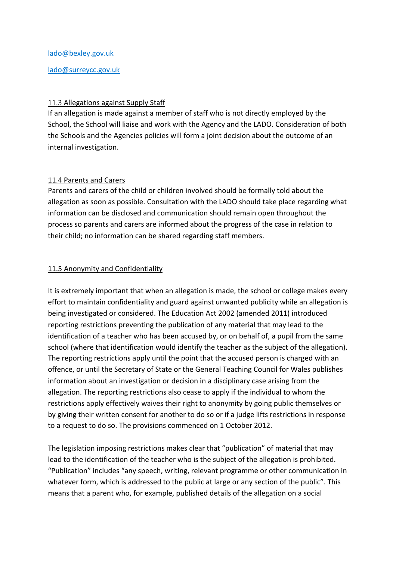#### lado@bexley.gov.uk

#### lado@surreycc.gov.uk

#### 11.3 Allegations against Supply Staff

If an allegation is made against a member of staff who is not directly employed by the School, the School will liaise and work with the Agency and the LADO. Consideration of both the Schools and the Agencies policies will form a joint decision about the outcome of an internal investigation.

#### 11.4 Parents and Carers

Parents and carers of the child or children involved should be formally told about the allegation as soon as possible. Consultation with the LADO should take place regarding what information can be disclosed and communication should remain open throughout the process so parents and carers are informed about the progress of the case in relation to their child; no information can be shared regarding staff members.

#### 11.5 Anonymity and Confidentiality

It is extremely important that when an allegation is made, the school or college makes every effort to maintain confidentiality and guard against unwanted publicity while an allegation is being investigated or considered. The Education Act 2002 (amended 2011) introduced reporting restrictions preventing the publication of any material that may lead to the identification of a teacher who has been accused by, or on behalf of, a pupil from the same school (where that identification would identify the teacher as the subject of the allegation). The reporting restrictions apply until the point that the accused person is charged with an offence, or until the Secretary of State or the General Teaching Council for Wales publishes information about an investigation or decision in a disciplinary case arising from the allegation. The reporting restrictions also cease to apply if the individual to whom the restrictions apply effectively waives their right to anonymity by going public themselves or by giving their written consent for another to do so or if a judge lifts restrictions in response to a request to do so. The provisions commenced on 1 October 2012.

The legislation imposing restrictions makes clear that "publication" of material that may lead to the identification of the teacher who is the subject of the allegation is prohibited. "Publication" includes "any speech, writing, relevant programme or other communication in whatever form, which is addressed to the public at large or any section of the public". This means that a parent who, for example, published details of the allegation on a social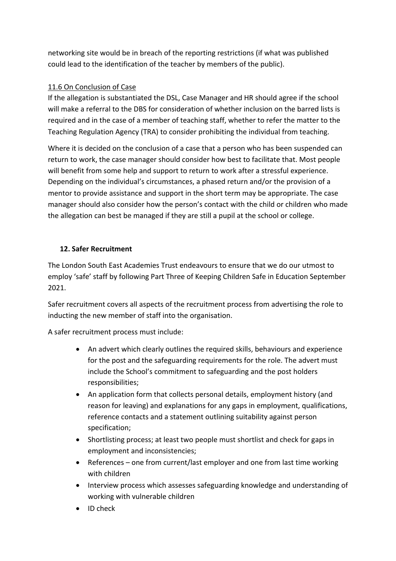networking site would be in breach of the reporting restrictions (if what was published could lead to the identification of the teacher by members of the public).

## 11.6 On Conclusion of Case

If the allegation is substantiated the DSL, Case Manager and HR should agree if the school will make a referral to the DBS for consideration of whether inclusion on the barred lists is required and in the case of a member of teaching staff, whether to refer the matter to the Teaching Regulation Agency (TRA) to consider prohibiting the individual from teaching.

Where it is decided on the conclusion of a case that a person who has been suspended can return to work, the case manager should consider how best to facilitate that. Most people will benefit from some help and support to return to work after a stressful experience. Depending on the individual's circumstances, a phased return and/or the provision of a mentor to provide assistance and support in the short term may be appropriate. The case manager should also consider how the person's contact with the child or children who made the allegation can best be managed if they are still a pupil at the school or college.

## **12. Safer Recruitment**

The London South East Academies Trust endeavours to ensure that we do our utmost to employ 'safe' staff by following Part Three of Keeping Children Safe in Education September 2021.

Safer recruitment covers all aspects of the recruitment process from advertising the role to inducting the new member of staff into the organisation.

A safer recruitment process must include:

- An advert which clearly outlines the required skills, behaviours and experience for the post and the safeguarding requirements for the role. The advert must include the School's commitment to safeguarding and the post holders responsibilities;
- An application form that collects personal details, employment history (and reason for leaving) and explanations for any gaps in employment, qualifications, reference contacts and a statement outlining suitability against person specification;
- Shortlisting process; at least two people must shortlist and check for gaps in employment and inconsistencies;
- References one from current/last employer and one from last time working with children
- Interview process which assesses safeguarding knowledge and understanding of working with vulnerable children
- ID check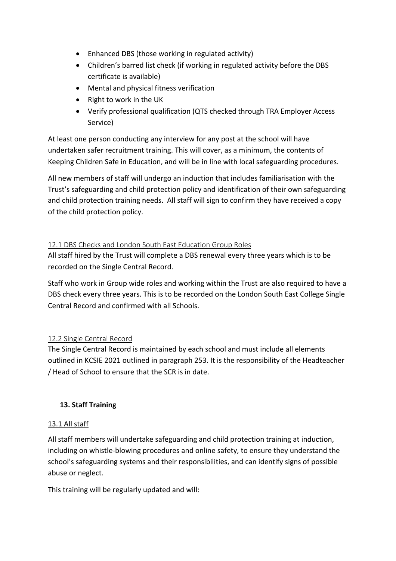- Enhanced DBS (those working in regulated activity)
- Children's barred list check (if working in regulated activity before the DBS certificate is available)
- Mental and physical fitness verification
- Right to work in the UK
- Verify professional qualification (QTS checked through TRA Employer Access Service)

At least one person conducting any interview for any post at the school will have undertaken safer recruitment training. This will cover, as a minimum, the contents of Keeping Children Safe in Education, and will be in line with local safeguarding procedures.

All new members of staff will undergo an induction that includes familiarisation with the Trust's safeguarding and child protection policy and identification of their own safeguarding and child protection training needs. All staff will sign to confirm they have received a copy of the child protection policy.

#### 12.1 DBS Checks and London South East Education Group Roles

All staff hired by the Trust will complete a DBS renewal every three years which is to be recorded on the Single Central Record.

Staff who work in Group wide roles and working within the Trust are also required to have a DBS check every three years. This is to be recorded on the London South East College Single Central Record and confirmed with all Schools.

#### 12.2 Single Central Record

The Single Central Record is maintained by each school and must include all elements outlined in KCSIE 2021 outlined in paragraph 253. It is the responsibility of the Headteacher / Head of School to ensure that the SCR is in date.

#### **13. Staff Training**

#### 13.1 All staff

All staff members will undertake safeguarding and child protection training at induction, including on whistle-blowing procedures and online safety, to ensure they understand the school's safeguarding systems and their responsibilities, and can identify signs of possible abuse or neglect.

This training will be regularly updated and will: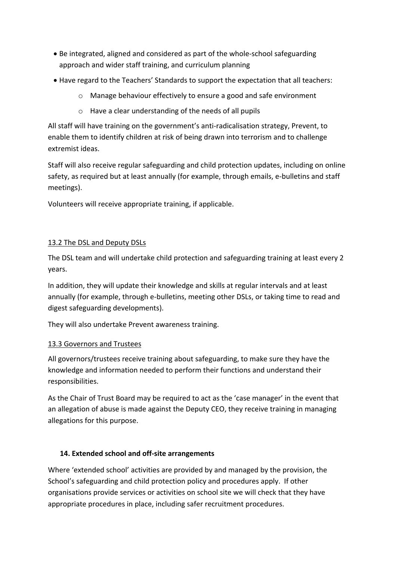- Be integrated, aligned and considered as part of the whole-school safeguarding approach and wider staff training, and curriculum planning
- Have regard to the Teachers' Standards to support the expectation that all teachers:
	- o Manage behaviour effectively to ensure a good and safe environment
	- o Have a clear understanding of the needs of all pupils

All staff will have training on the government's anti-radicalisation strategy, Prevent, to enable them to identify children at risk of being drawn into terrorism and to challenge extremist ideas.

Staff will also receive regular safeguarding and child protection updates, including on online safety, as required but at least annually (for example, through emails, e-bulletins and staff meetings).

Volunteers will receive appropriate training, if applicable.

#### 13.2 The DSL and Deputy DSLs

The DSL team and will undertake child protection and safeguarding training at least every 2 years.

In addition, they will update their knowledge and skills at regular intervals and at least annually (for example, through e-bulletins, meeting other DSLs, or taking time to read and digest safeguarding developments).

They will also undertake Prevent awareness training.

#### 13.3 Governors and Trustees

All governors/trustees receive training about safeguarding, to make sure they have the knowledge and information needed to perform their functions and understand their responsibilities.

As the Chair of Trust Board may be required to act as the 'case manager' in the event that an allegation of abuse is made against the Deputy CEO, they receive training in managing allegations for this purpose.

#### **14. Extended school and off-site arrangements**

Where 'extended school' activities are provided by and managed by the provision, the School's safeguarding and child protection policy and procedures apply. If other organisations provide services or activities on school site we will check that they have appropriate procedures in place, including safer recruitment procedures.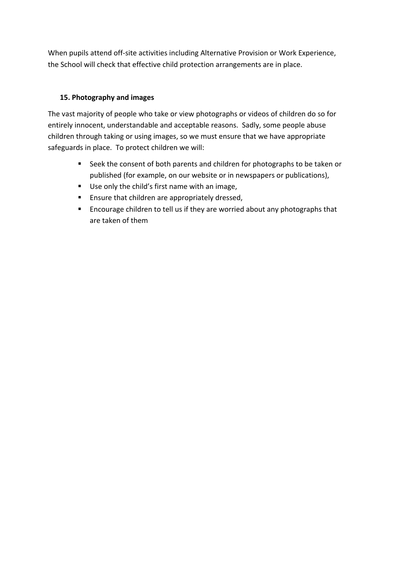When pupils attend off-site activities including Alternative Provision or Work Experience, the School will check that effective child protection arrangements are in place.

## **15. Photography and images**

The vast majority of people who take or view photographs or videos of children do so for entirely innocent, understandable and acceptable reasons. Sadly, some people abuse children through taking or using images, so we must ensure that we have appropriate safeguards in place. To protect children we will:

- Seek the consent of both parents and children for photographs to be taken or published (for example, on our website or in newspapers or publications),
- Use only the child's first name with an image,
- Ensure that children are appropriately dressed,
- Encourage children to tell us if they are worried about any photographs that are taken of them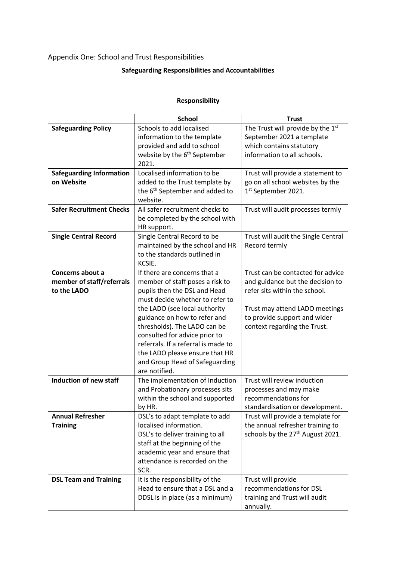## Appendix One: School and Trust Responsibilities

## **Safeguarding Responsibilities and Accountabilities**

| <b>Responsibility</b>                                        |                                                                                                                                                                                                                                                                                                                                                                                                  |                                                                                                                                                                                                          |
|--------------------------------------------------------------|--------------------------------------------------------------------------------------------------------------------------------------------------------------------------------------------------------------------------------------------------------------------------------------------------------------------------------------------------------------------------------------------------|----------------------------------------------------------------------------------------------------------------------------------------------------------------------------------------------------------|
|                                                              | <b>School</b>                                                                                                                                                                                                                                                                                                                                                                                    | <b>Trust</b>                                                                                                                                                                                             |
| <b>Safeguarding Policy</b>                                   | Schools to add localised<br>information to the template<br>provided and add to school<br>website by the 6 <sup>th</sup> September<br>2021.                                                                                                                                                                                                                                                       | The Trust will provide by the 1st<br>September 2021 a template<br>which contains statutory<br>information to all schools.                                                                                |
| <b>Safeguarding Information</b><br>on Website                | Localised information to be<br>added to the Trust template by<br>the 6 <sup>th</sup> September and added to<br>website.                                                                                                                                                                                                                                                                          | Trust will provide a statement to<br>go on all school websites by the<br>1st September 2021.                                                                                                             |
| <b>Safer Recruitment Checks</b>                              | All safer recruitment checks to<br>be completed by the school with<br>HR support.                                                                                                                                                                                                                                                                                                                | Trust will audit processes termly                                                                                                                                                                        |
| <b>Single Central Record</b>                                 | Single Central Record to be<br>maintained by the school and HR<br>to the standards outlined in<br>KCSIE.                                                                                                                                                                                                                                                                                         | Trust will audit the Single Central<br>Record termly                                                                                                                                                     |
| Concerns about a<br>member of staff/referrals<br>to the LADO | If there are concerns that a<br>member of staff poses a risk to<br>pupils then the DSL and Head<br>must decide whether to refer to<br>the LADO (see local authority<br>guidance on how to refer and<br>thresholds). The LADO can be<br>consulted for advice prior to<br>referrals. If a referral is made to<br>the LADO please ensure that HR<br>and Group Head of Safeguarding<br>are notified. | Trust can be contacted for advice<br>and guidance but the decision to<br>refer sits within the school.<br>Trust may attend LADO meetings<br>to provide support and wider<br>context regarding the Trust. |
| <b>Induction of new staff</b>                                | The implementation of Induction<br>and Probationary processes sits<br>within the school and supported<br>by HR.                                                                                                                                                                                                                                                                                  | Trust will review induction<br>processes and may make<br>recommendations for<br>standardisation or development.                                                                                          |
| <b>Annual Refresher</b><br><b>Training</b>                   | DSL's to adapt template to add<br>localised information.<br>DSL's to deliver training to all<br>staff at the beginning of the<br>academic year and ensure that<br>attendance is recorded on the<br>SCR.                                                                                                                                                                                          | Trust will provide a template for<br>the annual refresher training to<br>schools by the 27 <sup>th</sup> August 2021.                                                                                    |
| <b>DSL Team and Training</b>                                 | It is the responsibility of the<br>Head to ensure that a DSL and a<br>DDSL is in place (as a minimum)                                                                                                                                                                                                                                                                                            | Trust will provide<br>recommendations for DSL<br>training and Trust will audit<br>annually.                                                                                                              |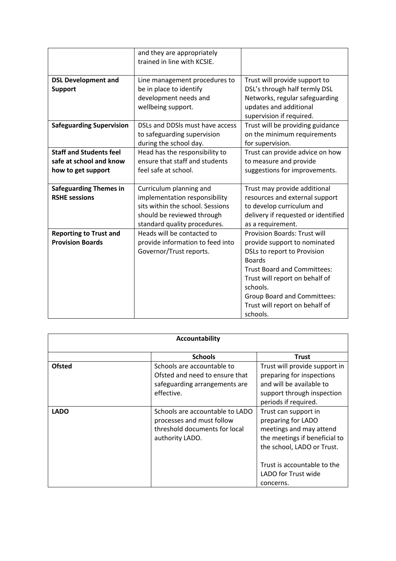|                                                                                 | and they are appropriately<br>trained in line with KCSIE.                                                                                                  |                                                                                                                                                                                                                                                                                      |
|---------------------------------------------------------------------------------|------------------------------------------------------------------------------------------------------------------------------------------------------------|--------------------------------------------------------------------------------------------------------------------------------------------------------------------------------------------------------------------------------------------------------------------------------------|
| <b>DSL Development and</b><br><b>Support</b>                                    | Line management procedures to<br>be in place to identify<br>development needs and<br>wellbeing support.                                                    | Trust will provide support to<br>DSL's through half termly DSL<br>Networks, regular safeguarding<br>updates and additional<br>supervision if required.                                                                                                                               |
| <b>Safeguarding Supervision</b>                                                 | DSLs and DDSIs must have access<br>to safeguarding supervision<br>during the school day.                                                                   | Trust will be providing guidance<br>on the minimum requirements<br>for supervision.                                                                                                                                                                                                  |
| <b>Staff and Students feel</b><br>safe at school and know<br>how to get support | Head has the responsibility to<br>ensure that staff and students<br>feel safe at school.                                                                   | Trust can provide advice on how<br>to measure and provide<br>suggestions for improvements.                                                                                                                                                                                           |
| <b>Safeguarding Themes in</b><br><b>RSHE sessions</b>                           | Curriculum planning and<br>implementation responsibility<br>sits within the school. Sessions<br>should be reviewed through<br>standard quality procedures. | Trust may provide additional<br>resources and external support<br>to develop curriculum and<br>delivery if requested or identified<br>as a requirement.                                                                                                                              |
| <b>Reporting to Trust and</b><br><b>Provision Boards</b>                        | Heads will be contacted to<br>provide information to feed into<br>Governor/Trust reports.                                                                  | <b>Provision Boards: Trust will</b><br>provide support to nominated<br>DSLs to report to Provision<br><b>Boards</b><br><b>Trust Board and Committees:</b><br>Trust will report on behalf of<br>schools.<br>Group Board and Committees:<br>Trust will report on behalf of<br>schools. |

| Accountability |                                                                                                                  |                                                                                                                                                                                            |
|----------------|------------------------------------------------------------------------------------------------------------------|--------------------------------------------------------------------------------------------------------------------------------------------------------------------------------------------|
|                | <b>Schools</b>                                                                                                   | <b>Trust</b>                                                                                                                                                                               |
| <b>Ofsted</b>  | Schools are accountable to<br>Ofsted and need to ensure that<br>safeguarding arrangements are<br>effective.      | Trust will provide support in<br>preparing for inspections<br>and will be available to<br>support through inspection<br>periods if required.                                               |
| <b>LADO</b>    | Schools are accountable to LADO<br>processes and must follow<br>threshold documents for local<br>authority LADO. | Trust can support in<br>preparing for LADO<br>meetings and may attend<br>the meetings if beneficial to<br>the school, LADO or Trust.<br>Trust is accountable to the<br>LADO for Trust wide |
|                |                                                                                                                  | concerns.                                                                                                                                                                                  |